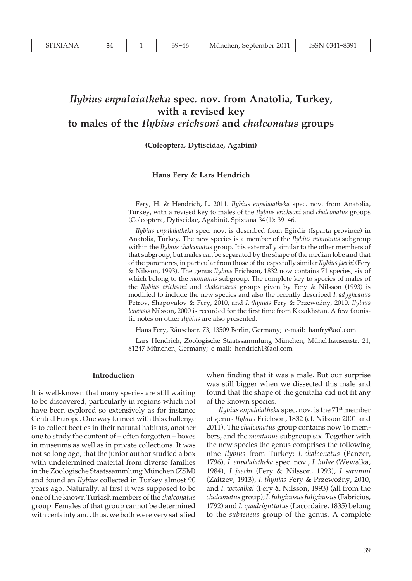# *Ilybius enpalaiatheka* **spec. nov. from Anatolia, Turkey, with a revised key to males of the** *Ilybius erichsoni* **and** *chalconatus* **groups**

# **(Coleoptera, Dytiscidae, Agabini)**

#### **Hans Fery & Lars Hendrich**

Fery, H. & Hendrich, L. 2011. *Ilybius enpalaiatheka* spec. nov. from Anatolia, Turkey, with a revised key to males of the *Ilybius erichsoni* and *chalconatus* groups (Coleoptera, Dytiscidae, Agabini). Spixiana 34 (1): 39-46.

*Ilybius enpalaiatheka* spec. nov. is described from Egirdir (Isparta province) in Anatolia, Turkey. The new species is a member of the *Ilybius montanus* subgroup within the *Ilybius chalconatus* group. It is externally similar to the other members of that subgroup, but males can be separated by the shape of the median lobe and that of the parameres, in particular from those of the especially similar *Ilybius jaechi* (Fery & Nilsson, 1993). The genus *Ilybius* Erichson, 1832 now contains 71 species, six of which belong to the *montanus* subgroup. The complete key to species of males of the *Ilybius erichsoni* and *chalconatus* groups given by Fery & Nilsson (1993) is modified to include the new species and also the recently described *I. adygheanus* Petrov, Shapovalov & Fery, 2010, and *I. thynias* Fery & Przewoźny, 2010. *Ilybius lenensis* Nilsson, 2000 is recorded for the first time from Kazakhstan. A few faunistic notes on other *Ilybius* are also presented.

Hans Fery, Räuschstr. 73, 13509 Berlin, Germany; e-mail: hanfry@aol.com

Lars Hendrich, Zoologische Staatssammlung München, Münchhausenstr. 21, 81247 München, Germany; e-mail: hendrich1@aol.com

#### **Introduction**

It is well-known that many species are still waiting to be discovered, particularly in regions which not have been explored so extensively as for instance Central Europe. One way to meet with this challenge is to collect beetles in their natural habitats, another one to study the content of – often forgotten – boxes in museums as well as in private collections. It was not so long ago, that the junior author studied a box with undetermined material from diverse families in the Zoologische Staatssammlung München (ZSM) and found an *Ilybius* collected in Turkey almost 90 years ago. Naturally, at first it was supposed to be one of the known Turkish members of the *chalconatus* group. Females of that group cannot be determined with certainty and, thus, we both were very satisfied

when finding that it was a male. But our surprise was still bigger when we dissected this male and found that the shape of the genitalia did not fit any of the known species.

*Ilybius enpalaiatheka* spec. nov. is the 71<sup>st</sup> member of genus *Ilybius* Erichson, 1832 (cf. Nilsson 2001 and 2011). The *chalconatus* group contains now 16 members, and the *montanus* subgroup six. Together with the new species the genus comprises the following nine *Ilybius* from Turkey: *I. chalconatus* (Panzer, 1796), *I. enpalaiatheka* spec. nov., *I. hulae* (Wewalka, 1984), *I. jaechi* (Fery & Nilsson, 1993), *I. satunini* (Zaitzev, 1913), *I. thynias* Fery & Przewoźny, 2010, and *I. wewalkai* (Fery & Nilsson, 1993) (all from the *chalconatus* group); *I. fuliginosus fuliginosus* (Fabricius, 1792) and *I. quadriguttatus* (Lacordaire, 1835) belong to the *subaeneus* group of the genus. A complete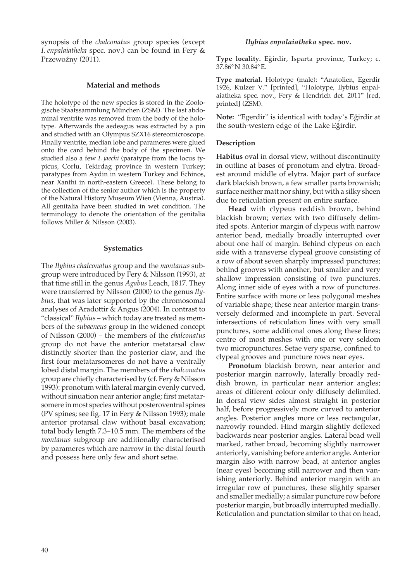synopsis of the *chalconatus* group species (except *I. enpalaiatheka* spec. nov.) can be found in Fery & Przewoźny (2011).

## **Material and methods**

The holotype of the new species is stored in the Zoologische Staatssammlung München (ZSM). The last abdominal ventrite was removed from the body of the holotype. Afterwards the aedeagus was extracted by a pin and studied with an Olympus SZX16 stereomicroscope. Finally ventrite, median lobe and parameres were glued onto the card behind the body of the specimen. We studied also a few *I. jaechi* (paratype from the locus typicus, Corlu, Tekirdag province in western Turkey; paratypes from Aydin in western Turkey and Echinos, near Xanthi in north-eastern Greece). These belong to the collection of the senior author which is the property of the Natural History Museum Wien (Vienna, Austria). All genitalia have been studied in wet condition. The terminology to denote the orientation of the genitalia follows Miller & Nilsson (2003).

## **Systematics**

The *Ilybius chalconatus* group and the *montanus* subgroup were introduced by Fery & Nilsson (1993), at that time still in the genus *Agabus* Leach, 1817. They were transferred by Nilsson (2000) to the genus *Ilybius*, that was later supported by the chromosomal analyses of Aradottir & Angus (2004). In contrast to "classical" *Ilybius* – which today are treated as members of the *subaeneus* group in the widened concept of Nilsson (2000) – the members of the *chalconatus* group do not have the anterior metatarsal claw distinctly shorter than the posterior claw, and the first four metatarsomeres do not have a ventrally lobed distal margin. The members of the *chalconatus* group are chiefly characterised by (cf. Fery & Nilsson 1993): pronotum with lateral margin evenly curved, without sinuation near anterior angle; first metatarsomere in most species without posteroventral spines (PV spines; see fig. 17 in Fery & Nilsson 1993); male anterior protarsal claw without basal excavation; total body length 7.3-10.5 mm. The members of the *montanus* subgroup are additionally characterised by parameres which are narrow in the distal fourth and possess here only few and short setae.

#### *Ilybius enpalaiatheka* **spec. nov.**

**Type locality.** Egirdir, Isparta province, Turkey; c. 37.86° N 30.84° E.

**Type material.** Holotype (male): "Anatolien, Egerdir 1926, Kulzer V." [printed], "Holotype, Ilybius enpalaiatheka spec. nov., Fery & Hendrich det. 2011" [red, printed] (ZSM).

**Note:** "Egerdir" is identical with today's Egirdir at the south-western edge of the Lake Egirdir.

#### **Description**

**Habitus** oval in dorsal view, without discontinuity in outline at bases of pronotum and elytra. Broadest around middle of elytra. Major part of surface dark blackish brown, a few smaller parts brownish; surface neither matt nor shiny, but with a silky sheen due to reticulation present on entire surface.

 **Head** with clypeus reddish brown, behind blackish brown; vertex with two diffusely delimited spots. Anterior margin of clypeus with narrow anterior bead, medially broadly interrupted over about one half of margin. Behind clypeus on each side with a transverse clypeal groove consisting of a row of about seven sharply impressed punctures; behind grooves with another, but smaller and very shallow impression consisting of two punctures. Along inner side of eyes with a row of punctures. Entire surface with more or less polygonal meshes of variable shape; these near anterior margin transversely deformed and incomplete in part. Several intersections of reticulation lines with very small punctures, some additional ones along these lines; centre of most meshes with one or very seldom two micropunctures. Setae very sparse, confined to clypeal grooves and puncture rows near eyes.

 **Pronotum** blackish brown, near anterior and posterior margin narrowly, laterally broadly reddish brown, in particular near anterior angles; areas of different colour only diffusely delimited. In dorsal view sides almost straight in posterior half, before progressively more curved to anterior angles. Posterior angles more or less rectangular, narrowly rounded. Hind margin slightly deflexed backwards near posterior angles. Lateral bead well marked, rather broad, becoming slightly narrower anteriorly, vanishing before anterior angle. Anterior margin also with narrow bead, at anterior angles (near eyes) becoming still narrower and then vanishing anteriorly. Behind anterior margin with an irregular row of punctures, these slightly sparser and smaller medially; a similar puncture row before posterior margin, but broadly interrupted medially. Reticulation and punctation similar to that on head,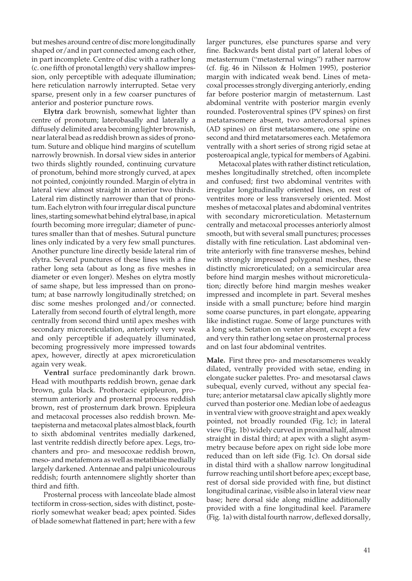but meshes around centre of disc more longitudinally shaped or/and in part connected among each other, in part incomplete. Centre of disc with a rather long (c. one fifth of pronotal length) very shallow impression, only perceptible with adequate illumination; here reticulation narrowly interrupted. Setae very sparse, present only in a few coarser punctures of anterior and posterior puncture rows.

 **Elytra** dark brownish, somewhat lighter than centre of pronotum; laterobasally and laterally a diffusely delimited area becoming lighter brownish, near lateral bead as reddish brown as sides of pronotum. Suture and oblique hind margins of scutellum narrowly brownish. In dorsal view sides in anterior two thirds slightly rounded, continuing curvature of pronotum, behind more strongly curved, at apex not pointed, conjointly rounded. Margin of elytra in lateral view almost straight in anterior two thirds. Lateral rim distinctly narrower than that of pronotum. Each elytron with four irregular discal puncture lines, starting somewhat behind elytral base, in apical fourth becoming more irregular; diameter of punctures smaller than that of meshes. Sutural puncture lines only indicated by a very few small punctures. Another puncture line directly beside lateral rim of elytra. Several punctures of these lines with a fine rather long seta (about as long as five meshes in diameter or even longer). Meshes on elytra mostly of same shape, but less impressed than on pronotum; at base narrowly longitudinally stretched; on disc some meshes prolonged and/or connected. Laterally from second fourth of elytral length, more centrally from second third until apex meshes with secondary microreticulation, anteriorly very weak and only perceptible if adequately illuminated, becoming progressively more impressed towards apex, however, directly at apex microreticulation again very weak.

 **Ventral** surface predominantly dark brown. Head with mouthparts reddish brown, genae dark brown, gula black. Prothoracic epipleuron, prosternum anteriorly and prosternal process reddish brown, rest of prosternum dark brown. Epipleura and metacoxal processes also reddish brown. Metaepisterna and metacoxal plates almost black, fourth to sixth abdominal ventrites medially darkened, last ventrite reddish directly before apex. Legs, trochanters and pro- and mesocoxae reddish brown, meso- and metafemora as well as metatibiae medially largely darkened. Antennae and palpi unicolourous reddish; fourth antennomere slightly shorter than third and fifth.

 Prosternal process with lanceolate blade almost tectiform in cross-section, sides with distinct, posteriorly somewhat weaker bead; apex pointed. Sides of blade somewhat flattened in part; here with a few

larger punctures, else punctures sparse and very fine. Backwards bent distal part of lateral lobes of metasternum ("metasternal wings") rather narrow (cf. fig. 46 in Nilsson & Holmen 1995), posterior margin with indicated weak bend. Lines of metacoxal processes strongly diverging anteriorly, ending far before posterior margin of metasternum. Last abdominal ventrite with posterior margin evenly rounded. Posteroventral spines (PV spines) on first metatarsomere absent, two anterodorsal spines (AD spines) on first metatarsomere, one spine on second and third metatarsomeres each. Metafemora ventrally with a short series of strong rigid setae at posteroapical angle, typical for members of Agabini.

 Metacoxal plates with rather distinct reticulation, meshes longitudinally stretched, often incomplete and confused; first two abdominal ventrites with irregular longitudinally oriented lines, on rest of ventrites more or less transversely oriented. Most meshes of metacoxal plates and abdominal ventrites with secondary microreticulation. Metasternum centrally and metacoxal processes anteriorly almost smooth, but with several small punctures; processes distally with fine reticulation. Last abdominal ventrite anteriorly with fine transverse meshes, behind with strongly impressed polygonal meshes, these distinctly microreticulated; on a semicircular area before hind margin meshes without microreticulation; directly before hind margin meshes weaker impressed and incomplete in part. Several meshes inside with a small puncture; before hind margin some coarse punctures, in part elongate, appearing like indistinct rugae. Some of large punctures with a long seta. Setation on venter absent, except a few and very thin rather long setae on prosternal process and on last four abdominal ventrites.

**Male.** First three pro- and mesotarsomeres weakly dilated, ventrally provided with setae, ending in elongate sucker palettes. Pro- and mesotarsal claws subequal, evenly curved, without any special feature; anterior metatarsal claw apically slightly more curved than posterior one. Median lobe of aedeagus in ventral view with groove straight and apex weakly pointed, not broadly rounded (Fig. 1c); in lateral view (Fig. 1b) widely curved in proximal half, almost straight in distal third; at apex with a slight asymmetry because before apex on right side lobe more reduced than on left side (Fig. 1c). On dorsal side in distal third with a shallow narrow longitudinal furrow reaching until short before apex; except base, rest of dorsal side provided with fine, but distinct longitudinal carinae, visible also in lateral view near base; here dorsal side along midline additionally provided with a fine longitudinal keel. Paramere (Fig. 1a) with distal fourth narrow, deflexed dorsally,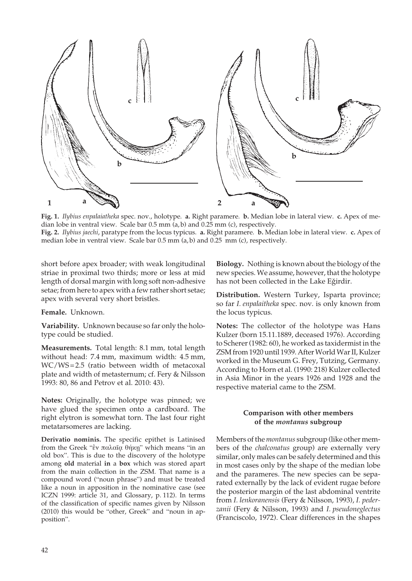

**Fig. 1.** *Ilybius enpalaiatheka* spec. nov., holotype. **a.** Right paramere. **b.** Median lobe in lateral view. **c.** Apex of median lobe in ventral view. Scale bar 0.5 mm (a, b) and 0.25 mm (c), respectively*.* **Fig. 2.** *Ilybius jaechi*, paratype from the locus typicus. **a.** Right paramere. **b.** Median lobe in lateral view. **c.** Apex of median lobe in ventral view. Scale bar 0.5 mm (a, b) and 0.25 mm (c), respectively*.*

short before apex broader; with weak longitudinal striae in proximal two thirds; more or less at mid length of dorsal margin with long soft non-adhesive setae; from here to apex with a few rather short setae; apex with several very short bristles.

## **Female.** Unknown.

**Variability.** Unknown because so far only the holotype could be studied.

**Measurements.** Total length: 8.1 mm, total length without head: 7.4 mm, maximum width: 4.5 mm, WC/WS = 2.5 (ratio between width of metacoxal plate and width of metasternum; cf. Fery & Nilsson 1993: 80, 86 and Petrov et al. 2010: 43).

**Notes:** Originally, the holotype was pinned; we have glued the specimen onto a cardboard. The right elytron is somewhat torn. The last four right metatarsomeres are lacking.

**Derivatio nominis.** The specific epithet is Latinised from the Greek "έν παλαῖα θήκη" which means "in an old box". This is due to the discovery of the holotype among **old** material **in** a **box** which was stored apart from the main collection in the ZSM. That name is a compound word ("noun phrase") and must be treated like a noun in apposition in the nominative case (see ICZN 1999: article 31, and Glossary, p. 112). In terms of the classification of specific names given by Nilsson (2010) this would be "other, Greek" and "noun in apposition".

**Biology.** Nothing is known about the biology of the new species. We assume, however, that the holotype has not been collected in the Lake Egirdir.

**Distribution.** Western Turkey, Isparta province; so far *I. enpalaitheka* spec. nov. is only known from the locus typicus.

**Notes:** The collector of the holotype was Hans Kulzer (born 15.11.1889, deceased 1976). According to Scherer (1982: 60), he worked as taxidermist in the ZSM from 1920 until 1939. After World War II, Kulzer worked in the Museum G. Frey, Tutzing, Germany. According to Horn et al. (1990: 218) Kulzer collected in Asia Minor in the years 1926 and 1928 and the respective material came to the ZSM.

# **Comparison with other members of the** *montanus* **subgroup**

Members of the *montanus* subgroup (like other members of the *chalconatus* group) are externally very similar, only males can be safely determined and this in most cases only by the shape of the median lobe and the parameres. The new species can be separated externally by the lack of evident rugae before the posterior margin of the last abdominal ventrite from *I. lenkoranensis* (Fery & Nilsson, 1993), *I. pederzanii* (Fery & Nilsson, 1993) and *I. pseudoneglectus* (Franciscolo, 1972). Clear differences in the shapes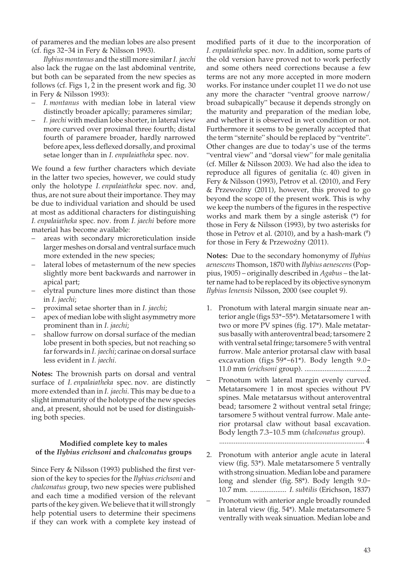of parameres and the median lobes are also present (cf. figs 32-34 in Fery & Nilsson 1993).

 *Ilybius montanus* and the still more similar *I. jaechi* also lack the rugae on the last abdominal ventrite, but both can be separated from the new species as follows (cf. Figs 1, 2 in the present work and fig. 30 in Fery & Nilsson 1993):

- *I. montanus* with median lobe in lateral view distinctly broader apically; parameres similar;
- *I. jaechi* with median lobe shorter, in lateral view more curved over proximal three fourth; distal fourth of paramere broader, hardly narrowed before apex, less deflexed dorsally, and proximal setae longer than in *I. enpalaiatheka* spec. nov.

We found a few further characters which deviate in the latter two species, however, we could study only the holotype *I. enpalaiatheka* spec. nov. and, thus, are not sure about their importance. They may be due to individual variation and should be used at most as additional characters for distinguishing *I. enpalaiatheka* spec. nov. from *I. jaechi* before more material has become available:

- areas with secondary microreticulation inside larger meshes on dorsal and ventral surface much more extended in the new species;
- lateral lobes of metasternum of the new species slightly more bent backwards and narrower in apical part;
- elytral puncture lines more distinct than those in *I. jaechi*;
- proximal setae shorter than in *I. jaechi*;
- apex of median lobe with slight asymmetry more prominent than in *I. jaechi*;
- shallow furrow on dorsal surface of the median lobe present in both species, but not reaching so far forwards in *I. jaechi*; carinae on dorsal surface less evident in *I. jaechi*.

**Notes:** The brownish parts on dorsal and ventral surface of *I. enpalaiatheka* spec. nov. are distinctly more extended than in *I. jaechi*. This may be due to a slight immaturity of the holotype of the new species and, at present, should not be used for distinguishing both species.

# **Modified complete key to males of the** *Ilybius erichsoni* **and** *chalconatus* **groups**

Since Fery & Nilsson (1993) published the first version of the key to species for the *Ilybius erichsoni* and *chalconatus* group, two new species were published and each time a modified version of the relevant parts of the key given. We believe that it will strongly help potential users to determine their specimens if they can work with a complete key instead of

modified parts of it due to the incorporation of *I. enpalaiatheka* spec. nov. In addition, some parts of the old version have proved not to work perfectly and some others need corrections because a few terms are not any more accepted in more modern works. For instance under couplet 11 we do not use any more the character "ventral groove narrow/ broad subapically" because it depends strongly on the maturity and preparation of the median lobe, and whether it is observed in wet condition or not. Furthermore it seems to be generally accepted that the term "sternite" should be replaced by "ventrite". Other changes are due to today's use of the terms "ventral view" and "dorsal view" for male genitalia (cf. Miller & Nilsson 2003). We had also the idea to reproduce all figures of genitalia (c. 40) given in Fery & Nilsson (1993), Petrov et al. (2010), and Fery & Przewoźny (2011), however, this proved to go beyond the scope of the present work. This is why we keep the numbers of the figures in the respective works and mark them by a single asterisk (\*) for those in Fery & Nilsson (1993), by two asterisks for those in Petrov et al. (2010), and by a hash-mark (# ) for those in Fery & Przewoźny (2011).

**Notes:** Due to the secondary homonymy of *Ilybius aenescens* Thomson, 1870 with *Ilybius aenescens* (Poppius, 1905) – originally described in *Agabus –* the latter name had to be replaced by its objective synonym *Ilybius lenensis* Nilsson, 2000 (see couplet 9).

- 1. Pronotum with lateral margin sinuate near anterior angle (figs 53\*-55\*). Metatarsomere 1 with two or more PV spines (fig. 17\*). Male metatarsus basally with anteroventral bead; tarsomere 2 with ventral setal fringe; tarsomere 5 with ventral furrow. Male anterior protarsal claw with basal excavation (figs 59\*-61\*). Body length 9.0- 11.0 mm (*erichsoni* group). ..................................2
- Pronotum with lateral margin evenly curved. Metatarsomere 1 in most species without PV spines. Male metatarsus without anteroventral bead; tarsomere 2 without ventral setal fringe; tarsomere 5 without ventral furrow. Male anterior protarsal claw without basal excavation. Body length 7.3-10.5 mm (*chalconatus* group).

................................................................................ 4

- 2. Pronotum with anterior angle acute in lateral view (fig. 53\*). Male metatarsomere 5 ventrally with strong sinuation. Median lobe and paramere long and slender (fig. 58\*). Body length 9.0- 10.7 mm. .................... *I. subtilis* (Erichson, 1837)
- Pronotum with anterior angle broadly rounded in lateral view (fig. 54\*). Male metatarsomere 5 ventrally with weak sinuation. Median lobe and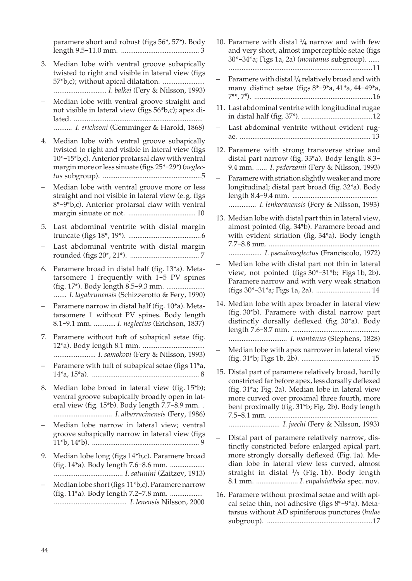paramere short and robust (figs 56\*, 57\*). Body length 9.5-11.0 mm. ........................................... 3

- 3. Median lobe with ventral groove subapically twisted to right and visible in lateral view (figs 57\*b,c); without apical dilatation. ....................... ............................. *I. balkei* (Fery & Nilsson, 1993)
- Median lobe with ventral groove straight and not visible in lateral view (figs 56\*b,c); apex dilated. ....................................................................... .......... *I. erichsoni* (Gemminger & Harold, 1868)

- 4. Median lobe with ventral groove subapically twisted to right and visible in lateral view (figs 10\*-15\*b,c). Anterior protarsal claw with ventral margin more or less sinuate (figs 25\*-29\*) (*neglectus* subgroup). ......................................................5
- Median lobe with ventral groove more or less straight and not visible in lateral view (e. g. figs 8\*-9\*b,c). Anterior protarsal claw with ventral margin sinuate or not. ..................................... 10
- 5. Last abdominal ventrite with distal margin truncate (figs 18\*, 19\*). ........................................6
- Last abdominal ventrite with distal margin rounded (figs 20\*, 21\*). ...................................... 7
- 6. Paramere broad in distal half (fig. 13\*a). Metatarsomere 1 frequently with 1-5 PV spines (fig. 17\*). Body length 8.5-9.3 mm. ..................... ....... *I. lagabrunensis* (Schizzerotto & Fery, 1990)
- Paramere narrow in distal half (fig. 10<sup>\*</sup>a). Metatarsomere 1 without PV spines. Body length 8.1-9.1 mm. ............ *I. neglectus* (Erichson, 1837)
- 7. Paramere without tuft of subapical setae (fig. 12\*a). Body length 8.1 mm. .................................. ....................... *I. samokovi* (Fery & Nilsson, 1993)
- Paramere with tuft of subapical setae (figs 11<sup>\*</sup>a, 14\*a, 15\*a). ........................................................... 8
- 8. Median lobe broad in lateral view (fig. 15\*b); ventral groove subapically broadly open in lateral view (fig. 15\*b). Body length 7.7-8.9 mm. . ................................ *I. albarracinensis* (Fery, 1986)
- Median lobe narrow in lateral view; ventral groove subapically narrow in lateral view (figs 11\*b, 14\*b). ........................................................... 9
- 9. Median lobe long (figs 14\*b,c). Paramere broad (fig. 14\*a). Body length 7.6-8.6 mm. ................... ...................................... *I. satunini* (Zaitzev, 1913)
- Median lobe short (figs 11\*b,c). Paramere narrow (fig. 11\*a). Body length 7.2-7.8 mm. .................. ........................................ *I. lenensis* Nilsson, 2000
- 10. Paramere with distal **<sup>1</sup>**/**4** narrow and with few and very short, almost imperceptible setae (figs 30\*-34\*a; Figs 1a, 2a) (*montanus* subgroup). ...... ...............................................................................11 – Paramere with distal **<sup>1</sup>**/**4** relatively broad and with many distinct setae (figs 8\*-9\*a, 41\*a, 44-49\*a, 7\*\*, 7# ). .................................................................16 11. Last abdominal ventrite with longitudinal rugae in distal half (fig. 37\*). .......................................12 Last abdominal ventrite without evident rugae. ........................................................................ 13 12. Paramere with strong transverse striae and distal part narrow (fig. 33\*a). Body length 8.3- 9.4 mm. ...... *I. pederzanii* (Fery & Nilsson, 1993) Paramere with striation slightly weaker and more longitudinal; distal part broad (fig. 32\*a). Body length 8.4-9.4 mm. ............................................... ............... *I. lenkoranensis* (Fery & Nilsson, 1993) 13. Median lobe with distal part thin in lateral view, almost pointed (fig. 34\*b). Paramere broad and with evident striation (fig. 34\*a). Body length 7.7-8.8 mm. ............................................................. .................. *I. pseudoneglectus* (Franciscolo, 1972) – Median lobe with distal part not thin in lateral view, not pointed (figs 30\*-31\*b; Figs 1b, 2b). Paramere narrow and with very weak striation (figs 30\*-31\*a; Figs 1a, 2a). .............................. 14 14. Median lobe with apex broader in lateral view (fig. 30\*b). Paramere with distal narrow part distinctly dorsally deflexed (fig. 30\*a). Body length 7.6-8.7 mm. ................................................ ................................ *I. montanus* (Stephens, 1828) – Median lobe with apex narrower in lateral view (fig. 31\*b; Figs 1b, 2b). ...................................... 15 15. Distal part of paramere relatively broad, hardly constricted far before apex, less dorsally deflexed (fig. 31\*a; Fig. 2a). Median lobe in lateral view more curved over proximal three fourth, more bent proximally (fig. 31\*b; Fig. 2b). Body length 7.5-8.1 mm. ............................................................ ............................ *I. jaechi* (Fery & Nilsson, 1993) – Distal part of paramere relatively narrow, distinctly constricted before enlarged apical part, more strongly dorsally deflexed (Fig. 1a). Median lobe in lateral view less curved, almost straight in distal **<sup>1</sup>**/**3** (Fig. 1b). Body length 8.1 mm. ....................... *I. enpalaiatheka* spec. nov. 16. Paramere without proximal setae and with apical setae thin, not adhesive (figs 8\*-9\*a). Meta-

tarsus without AD spiniferous punctures (*hulae* subgroup). ..........................................................17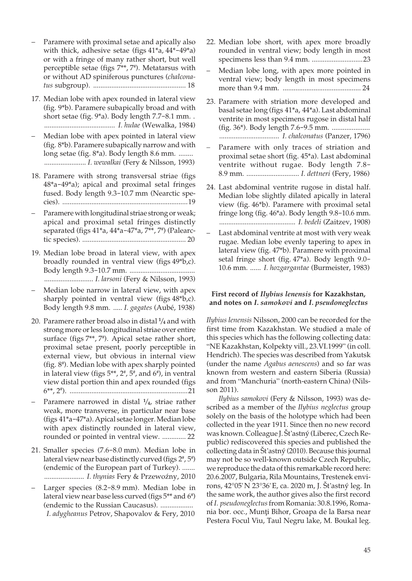- Paramere with proximal setae and apically also with thick, adhesive setae (figs 41\*a, 44\*-49\*a) or with a fringe of many rather short, but well perceptible setae (figs 7\*\*, 7# ). Metatarsus with or without AD spiniferous punctures (*chalconatus* subgroup). ................................................... 18
- 17. Median lobe with apex rounded in lateral view (fig. 9\*b). Paramere subapically broad and with short setae (fig. 9\*a). Body length 7.7-8.1 mm. . ....................................... *I. hulae* (Wewalka, 1984)
- Median lobe with apex pointed in lateral view (fig. 8\*b). Paramere subapically narrow and with long setae (fig. 8\*a). Body length 8.6 mm. ........ ....................... *I. wewalkai* (Fery & Nilsson, 1993)
- 18. Paramere with strong transversal striae (figs 48\*a-49\*a); apical and proximal setal fringes fused. Body length 9.3-10.7 mm (Nearctic species). .....................................................................19
- Paramere with longitudinal striae strong or weak; apical and proximal setal fringes distinctly separated (figs 41\*a, 44\*a-47\*a, 7\*\*, 7# ) (Palearctic species). ......................................................... 20
- 19. Median lobe broad in lateral view, with apex broadly rounded in ventral view (figs 49\*b,c). Body length 9.3-10.7 mm. .................................... ........................... *I. larsoni* (Fery & Nilsson, 1993)
- Median lobe narrow in lateral view, with apex sharply pointed in ventral view (figs 48\*b,c). Body length 9.8 mm. ..... *I. gagates* (Aubé, 1938)
- 20. Paramere rather broad also in distal **<sup>1</sup>**/**4** and with strong more or less longitudinal striae over entire surface (figs 7\*\*, 7<sup>#</sup>). Apical setae rather short, proximal setae present, poorly perceptible in external view, but obvious in internal view (fig. 8# ). Median lobe with apex sharply pointed in lateral view (figs  $5^{**}$ ,  $2^{\#}$ ,  $5^{\#}$ , and  $6^{\#}$ ), in ventral view distal portion thin and apex rounded (figs 6\*\*, 2# ). .................................................................21
- Paramere narrowed in distal **<sup>1</sup>**/**4**, striae rather weak, more transverse, in particular near base (figs 41\*a-47\*a). Apical setae longer. Median lobe with apex distinctly rounded in lateral view, rounded or pointed in ventral view. ............. 22
- 21. Smaller species (7.6-8.0 mm). Median lobe in lateral view near base distinctly curved (figs 2#, 5#) (endemic of the European part of Turkey). ....... ....................... *I. thynias* Fery & Przewoźny, 2010
- Larger species (8.2-8.9 mm). Median lobe in lateral view near base less curved (figs 5\*\* and 6<sup>#</sup>) (endemic to the Russian Caucasus). .................. *I. adygheanus* Petrov, Shapovalov & Fery, 2010
- 22. Median lobe short, with apex more broadly rounded in ventral view; body length in most specimens less than 9.4 mm. ............................23
- Median lobe long, with apex more pointed in ventral view; body length in most specimens more than 9.4 mm. ........................................... 24
- 23. Paramere with striation more developed and basal setae long (figs 41\*a, 44\*a). Last abdominal ventrite in most specimens rugose in distal half (fig. 36\*). Body length 7.6-9.5 mm. ..................... ................................. *I. chalconatus* (Panzer, 1796)
- Paramere with only traces of striation and proximal setae short (fig. 45\*a). Last abdominal ventrite without rugae. Body length 7.8- 8.9 mm. ............................. *I. dettneri* (Fery, 1986)
- 24. Last abdominal ventrite rugose in distal half. Median lobe slightly dilated apically in lateral view (fig. 46\*b). Paramere with proximal setal fringe long (fig. 46\*a). Body length 9.8-10.6 mm. .......................................... *I. bedeli* (Zaitzev, 1908)
- Last abdominal ventrite at most with very weak rugae. Median lobe evenly tapering to apex in lateral view (fig. 47\*b). Paramere with proximal setal fringe short (fig. 47\*a). Body length 9.0- 10.6 mm. ...... *I. hozgargantae* (Burmeister, 1983)

# **First record of** *Ilybius lenensis* **for Kazakhstan, and notes on** *I. samokovi* **and** *I. pseudoneglectus*

*Ilybius lenensis* Nilsson, 2000 can be recorded for the first time from Kazakhstan. We studied a male of this species which has the following collecting data: "NE Kazakhstan, Kolpekty vill., 23.VI.1999" (in coll. Hendrich). The species was described from Yakutsk (under the name *Agabus aenescens*) and so far was known from western and eastern Siberia (Russia) and from "Manchuria" (north-eastern China) (Nilsson 2011).

 *Ilybius samokovi* (Fery & Nilsson, 1993) was described as a member of the *Ilybius neglectus* group solely on the basis of the holotype which had been collected in the year 1911. Since then no new record was known. Colleague J. Št'astný (Liberec, Czech Republic) rediscovered this species and published the collecting data in Št'astný (2010). Because this journal may not be so well-known outside Czech Republic, we reproduce the data of this remarkable record here: 20.6.2007, Bulgaria, Rila Mountains, Trestenek environs, 42°05' N 23°36' E, ca. 2020 m, J. Št'astný leg. In the same work, the author gives also the first record of *I. pseudoneglectus* from Romania: 30.8.1996, Romania bor. occ., Munti Bihor, Groapa de la Barsa near Pestera Focul Viu, Taul Negru lake, M. Boukal leg.